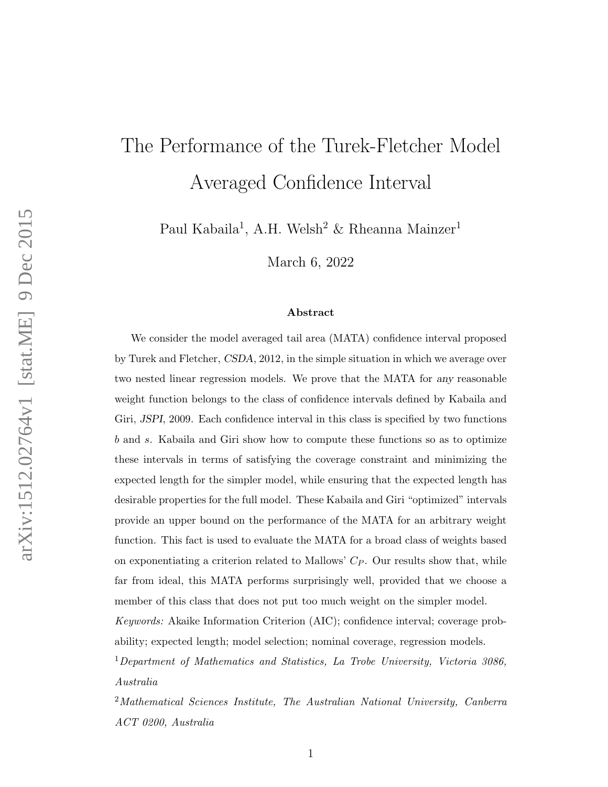# The Performance of the Turek-Fletcher Model Averaged Confidence Interval

Paul Kabaila<sup>1</sup>, A.H. Welsh<sup>2</sup> & Rheanna Mainzer<sup>1</sup>

March 6, 2022

#### Abstract

We consider the model averaged tail area (MATA) confidence interval proposed by Turek and Fletcher, CSDA, 2012, in the simple situation in which we average over two nested linear regression models. We prove that the MATA for any reasonable weight function belongs to the class of confidence intervals defined by Kabaila and Giri, JSPI, 2009. Each confidence interval in this class is specified by two functions b and s. Kabaila and Giri show how to compute these functions so as to optimize these intervals in terms of satisfying the coverage constraint and minimizing the expected length for the simpler model, while ensuring that the expected length has desirable properties for the full model. These Kabaila and Giri "optimized" intervals provide an upper bound on the performance of the MATA for an arbitrary weight function. This fact is used to evaluate the MATA for a broad class of weights based on exponentiating a criterion related to Mallows'  $C_P$ . Our results show that, while far from ideal, this MATA performs surprisingly well, provided that we choose a member of this class that does not put too much weight on the simpler model.

Keywords: Akaike Information Criterion (AIC); confidence interval; coverage probability; expected length; model selection; nominal coverage, regression models.

<sup>1</sup>Department of Mathematics and Statistics, La Trobe University, Victoria 3086, Australia

<sup>2</sup>Mathematical Sciences Institute, The Australian National University, Canberra ACT 0200, Australia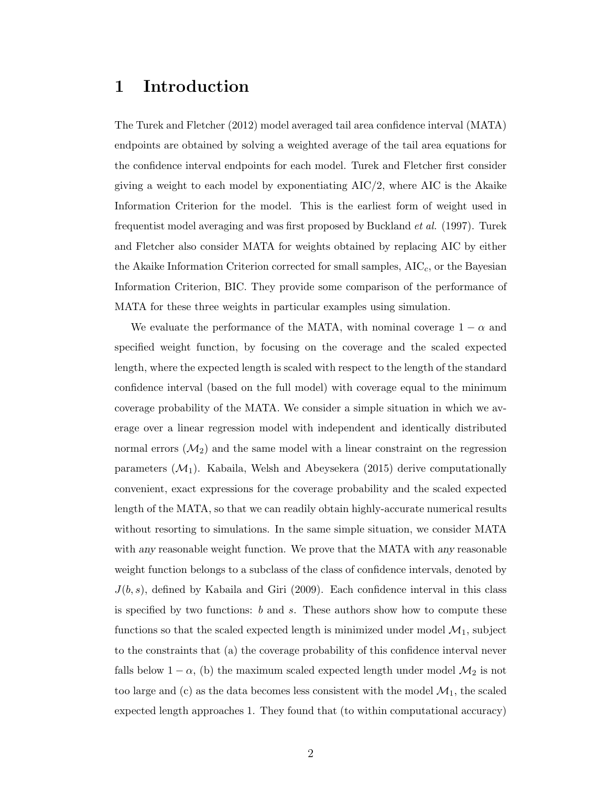# 1 Introduction

The Turek and Fletcher (2012) model averaged tail area confidence interval (MATA) endpoints are obtained by solving a weighted average of the tail area equations for the confidence interval endpoints for each model. Turek and Fletcher first consider giving a weight to each model by exponentiating  $AIC/2$ , where  $AIC$  is the Akaike Information Criterion for the model. This is the earliest form of weight used in frequentist model averaging and was first proposed by Buckland et al. (1997). Turek and Fletcher also consider MATA for weights obtained by replacing AIC by either the Akaike Information Criterion corrected for small samples,  $AIC<sub>c</sub>$ , or the Bayesian Information Criterion, BIC. They provide some comparison of the performance of MATA for these three weights in particular examples using simulation.

We evaluate the performance of the MATA, with nominal coverage  $1 - \alpha$  and specified weight function, by focusing on the coverage and the scaled expected length, where the expected length is scaled with respect to the length of the standard confidence interval (based on the full model) with coverage equal to the minimum coverage probability of the MATA. We consider a simple situation in which we average over a linear regression model with independent and identically distributed normal errors  $(\mathcal{M}_2)$  and the same model with a linear constraint on the regression parameters  $(\mathcal{M}_1)$ . Kabaila, Welsh and Abeysekera (2015) derive computationally convenient, exact expressions for the coverage probability and the scaled expected length of the MATA, so that we can readily obtain highly-accurate numerical results without resorting to simulations. In the same simple situation, we consider MATA with any reasonable weight function. We prove that the MATA with any reasonable weight function belongs to a subclass of the class of confidence intervals, denoted by  $J(b, s)$ , defined by Kabaila and Giri (2009). Each confidence interval in this class is specified by two functions:  $b$  and  $s$ . These authors show how to compute these functions so that the scaled expected length is minimized under model  $\mathcal{M}_1$ , subject to the constraints that (a) the coverage probability of this confidence interval never falls below  $1 - \alpha$ , (b) the maximum scaled expected length under model  $\mathcal{M}_2$  is not too large and (c) as the data becomes less consistent with the model  $\mathcal{M}_1$ , the scaled expected length approaches 1. They found that (to within computational accuracy)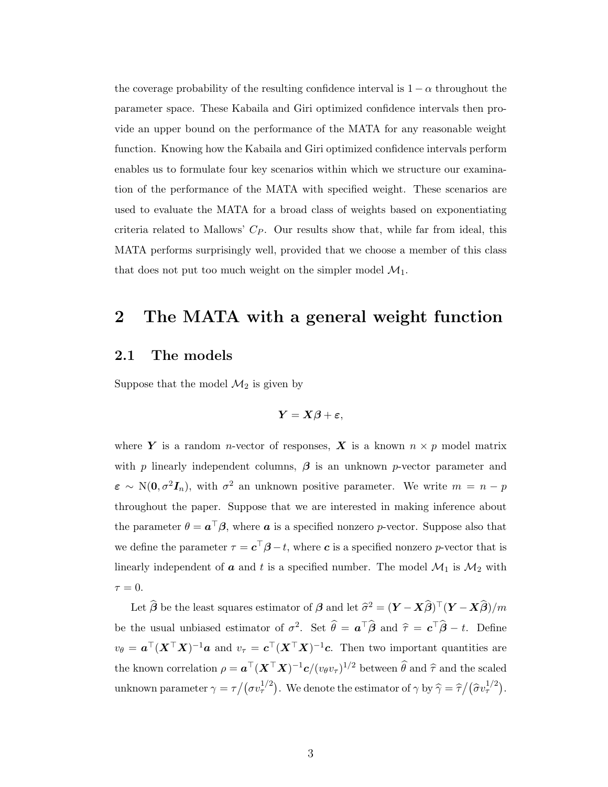the coverage probability of the resulting confidence interval is  $1 - \alpha$  throughout the parameter space. These Kabaila and Giri optimized confidence intervals then provide an upper bound on the performance of the MATA for any reasonable weight function. Knowing how the Kabaila and Giri optimized confidence intervals perform enables us to formulate four key scenarios within which we structure our examination of the performance of the MATA with specified weight. These scenarios are used to evaluate the MATA for a broad class of weights based on exponentiating criteria related to Mallows'  $C_P$ . Our results show that, while far from ideal, this MATA performs surprisingly well, provided that we choose a member of this class that does not put too much weight on the simpler model  $\mathcal{M}_1$ .

### 2 The MATA with a general weight function

#### 2.1 The models

Suppose that the model  $\mathcal{M}_2$  is given by

$$
\boldsymbol{Y} = \boldsymbol{X}\boldsymbol{\beta} + \boldsymbol{\varepsilon},
$$

where Y is a random *n*-vector of responses, X is a known  $n \times p$  model matrix with p linearly independent columns,  $\beta$  is an unknown p-vector parameter and  $\varepsilon \sim \mathrm{N}(0, \sigma^2 I_n)$ , with  $\sigma^2$  an unknown positive parameter. We write  $m = n - p$ throughout the paper. Suppose that we are interested in making inference about the parameter  $\theta = \boldsymbol{a}^\top \boldsymbol{\beta}$ , where  $\boldsymbol{a}$  is a specified nonzero p-vector. Suppose also that we define the parameter  $\tau = \mathbf{c}^\top \boldsymbol{\beta} - t$ , where  $\mathbf{c}$  is a specified nonzero p-vector that is linearly independent of  $\boldsymbol{a}$  and  $t$  is a specified number. The model  $\mathcal{M}_1$  is  $\mathcal{M}_2$  with  $\tau = 0$ .

Let  $\widehat{\boldsymbol{\beta}}$  be the least squares estimator of  $\boldsymbol{\beta}$  and let  $\widehat{\sigma}^2 = (\boldsymbol{Y} - \boldsymbol{X}\widehat{\boldsymbol{\beta}})^{\top}(\boldsymbol{Y} - \boldsymbol{X}\widehat{\boldsymbol{\beta}})/m$ be the usual unbiased estimator of  $\sigma^2$ . Set  $\hat{\theta} = a^{\top} \hat{\beta}$  and  $\hat{\tau} = c^{\top} \hat{\beta} - t$ . Define  $v_{\theta} = a^{\top} (X^{\top} X)^{-1} a$  and  $v_{\tau} = c^{\top} (X^{\top} X)^{-1} c$ . Then two important quantities are the known correlation  $\rho = \mathbf{a}^\top (\mathbf{X}^\top \mathbf{X})^{-1} \mathbf{c} / (v_\theta v_\tau)^{1/2}$  between  $\widehat{\theta}$  and  $\widehat{\tau}$  and the scaled unknown parameter  $\gamma = \tau/(\sigma v_{\tau}^{1/2})$ . We denote the estimator of  $\gamma$  by  $\hat{\gamma} = \hat{\tau}/(\hat{\sigma} v_{\tau}^{1/2})$ .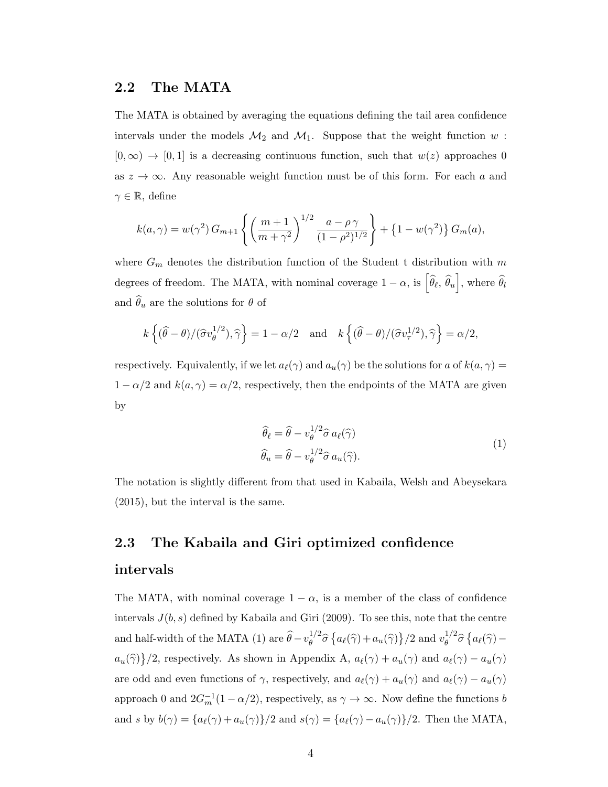#### 2.2 The MATA

The MATA is obtained by averaging the equations defining the tail area confidence intervals under the models  $\mathcal{M}_2$  and  $\mathcal{M}_1$ . Suppose that the weight function w:  $[0, \infty) \rightarrow [0, 1]$  is a decreasing continuous function, such that  $w(z)$  approaches 0 as  $z \to \infty$ . Any reasonable weight function must be of this form. For each a and  $\gamma \in \mathbb{R},$  define

$$
k(a,\gamma) = w(\gamma^2) G_{m+1} \left\{ \left( \frac{m+1}{m+\gamma^2} \right)^{1/2} \frac{a-\rho\gamma}{(1-\rho^2)^{1/2}} \right\} + \left\{ 1 - w(\gamma^2) \right\} G_m(a),
$$

where  $G_m$  denotes the distribution function of the Student t distribution with m degrees of freedom. The MATA, with nominal coverage  $1 - \alpha$ , is  $\left[\hat{\theta}_{\ell}, \hat{\theta}_{u}\right]$ , where  $\hat{\theta}_{l}$ and  $\widehat{\theta}_u$  are the solutions for  $\theta$  of

$$
k\left\{(\widehat{\theta}-\theta)/(\widehat{\sigma}v_{\theta}^{1/2}),\widehat{\gamma}\right\}=1-\alpha/2 \text{ and } k\left\{(\widehat{\theta}-\theta)/(\widehat{\sigma}v_{\tau}^{1/2}),\widehat{\gamma}\right\}=\alpha/2,
$$

respectively. Equivalently, if we let  $a_{\ell}(\gamma)$  and  $a_{u}(\gamma)$  be the solutions for a of  $k(a, \gamma) =$  $1 - \alpha/2$  and  $k(a, \gamma) = \alpha/2$ , respectively, then the endpoints of the MATA are given by

$$
\widehat{\theta}_{\ell} = \widehat{\theta} - v_{\theta}^{1/2} \widehat{\sigma} a_{\ell}(\widehat{\gamma})
$$
\n
$$
\widehat{\theta}_{u} = \widehat{\theta} - v_{\theta}^{1/2} \widehat{\sigma} a_{u}(\widehat{\gamma}).
$$
\n(1)

The notation is slightly different from that used in Kabaila, Welsh and Abeysekara (2015), but the interval is the same.

# 2.3 The Kabaila and Giri optimized confidence intervals

The MATA, with nominal coverage  $1 - \alpha$ , is a member of the class of confidence intervals  $J(b, s)$  defined by Kabaila and Giri (2009). To see this, note that the centre and half-width of the MATA (1) are  $\hat{\theta} - v_{\theta}^{1/2}$  $\frac{1}{2} \hat{\sigma} \left\{ a_{\ell}(\hat{\gamma}) + a_u(\hat{\gamma}) \right\} / 2$  and  $v_{\theta}^{1/2}$  $\int_{\theta}^{1/2} \widehat{\sigma} \left\{ a_{\ell}(\widehat{\gamma}) - \right\}$  $a_u(\hat{\gamma})/2$ , respectively. As shown in Appendix A,  $a_{\ell}(\gamma) + a_u(\gamma)$  and  $a_{\ell}(\gamma) - a_u(\gamma)$ are odd and even functions of  $\gamma$ , respectively, and  $a_{\ell}(\gamma) + a_u(\gamma)$  and  $a_{\ell}(\gamma) - a_u(\gamma)$ approach 0 and  $2G_m^{-1}(1-\alpha/2)$ , respectively, as  $\gamma \to \infty$ . Now define the functions b and s by  $b(\gamma) = \{a_{\ell}(\gamma) + a_u(\gamma)\}/2$  and  $s(\gamma) = \{a_{\ell}(\gamma) - a_u(\gamma)\}/2$ . Then the MATA,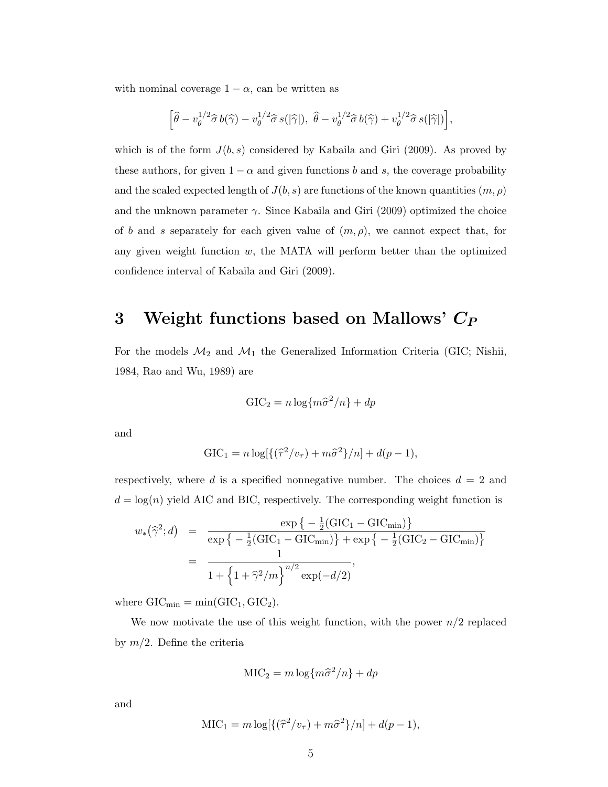with nominal coverage  $1 - \alpha$ , can be written as

$$
\left[\widehat{\theta}-v_{\theta}^{1/2}\widehat{\sigma} \,b(\widehat{\gamma})-v_{\theta}^{1/2}\widehat{\sigma} \,s(|\widehat{\gamma}|),\;\widehat{\theta}-v_{\theta}^{1/2}\widehat{\sigma} \,b(\widehat{\gamma})+v_{\theta}^{1/2}\widehat{\sigma} \,s(|\widehat{\gamma}|)\right],
$$

which is of the form  $J(b, s)$  considered by Kabaila and Giri (2009). As proved by these authors, for given  $1 - \alpha$  and given functions b and s, the coverage probability and the scaled expected length of  $J(b, s)$  are functions of the known quantities  $(m, \rho)$ and the unknown parameter  $\gamma$ . Since Kabaila and Giri (2009) optimized the choice of b and s separately for each given value of  $(m, \rho)$ , we cannot expect that, for any given weight function  $w$ , the MATA will perform better than the optimized confidence interval of Kabaila and Giri (2009).

# 3 Weight functions based on Mallows'  $C_P$

For the models  $\mathcal{M}_2$  and  $\mathcal{M}_1$  the Generalized Information Criteria (GIC; Nishii, 1984, Rao and Wu, 1989) are

$$
GIC_2 = n \log \{ m \hat{\sigma}^2 / n \} + dp
$$

and

$$
GIC1 = n log[{\lbrace (\hat{\tau}^2/v_{\tau}) + m\hat{\sigma}^2 \rbrace}/n] + d(p-1),
$$

respectively, where d is a specified nonnegative number. The choices  $d = 2$  and  $d = \log(n)$  yield AIC and BIC, respectively. The corresponding weight function is

$$
w_{*}(\hat{\gamma}^{2}; d) = \frac{\exp\{-\frac{1}{2}(\text{GIC}_{1} - \text{GIC}_{\text{min}})\}}{\exp\{-\frac{1}{2}(\text{GIC}_{1} - \text{GIC}_{\text{min}})\} + \exp\{-\frac{1}{2}(\text{GIC}_{2} - \text{GIC}_{\text{min}})\}} = \frac{1}{1 + \left\{1 + \hat{\gamma}^{2}/m\right\}^{n/2} \exp(-d/2)},
$$

where  $GIC_{min} = min(GIC_1, GIC_2)$ .

We now motivate the use of this weight function, with the power  $n/2$  replaced by  $m/2$ . Define the criteria

$$
MIC2 = m log{m\hat{\sigma}^2/n} + dp
$$

and

$$
MIC1 = m log[{\frac{\hat{\tau}^2}{v_{\tau}} + m\hat{\sigma}^2}/n] + d(p-1),
$$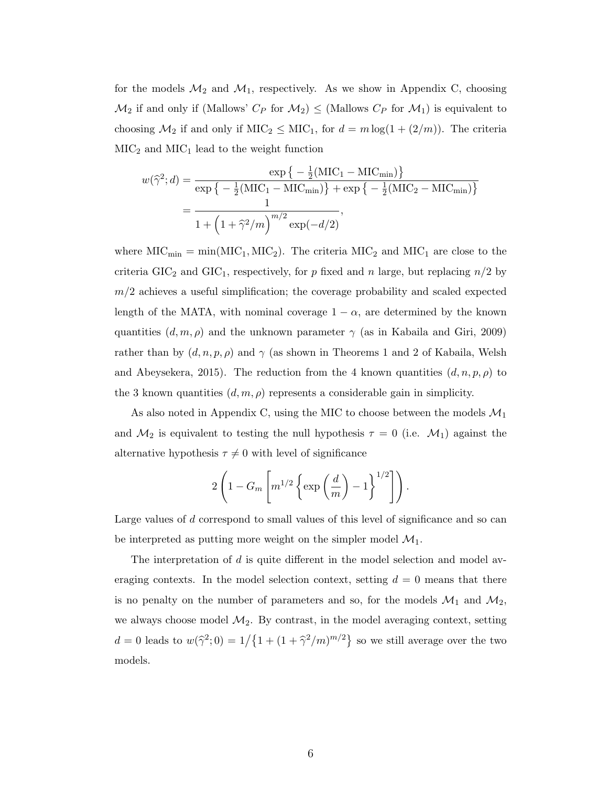for the models  $\mathcal{M}_2$  and  $\mathcal{M}_1$ , respectively. As we show in Appendix C, choosing  $\mathcal{M}_2$  if and only if (Mallows'  $C_P$  for  $\mathcal{M}_2$ )  $\leq$  (Mallows  $C_P$  for  $\mathcal{M}_1$ ) is equivalent to choosing  $\mathcal{M}_2$  if and only if  $\text{MIC}_2 \leq \text{MIC}_1$ , for  $d = m \log(1 + (2/m))$ . The criteria  $MIC<sub>2</sub>$  and  $MIC<sub>1</sub>$  lead to the weight function

$$
w(\hat{\gamma}^{2}; d) = \frac{\exp\{-\frac{1}{2}(\text{MIC}_{1} - \text{MIC}_{\text{min}})\}}{\exp\{-\frac{1}{2}(\text{MIC}_{1} - \text{MIC}_{\text{min}})\} + \exp\{-\frac{1}{2}(\text{MIC}_{2} - \text{MIC}_{\text{min}})\}}
$$

$$
= \frac{1}{1 + (1 + \hat{\gamma}^{2}/m)^{m/2} \exp(-d/2)},
$$

where  $\text{MIC}_{\text{min}} = \min(\text{MIC}_{1}, \text{MIC}_{2})$ . The criteria  $\text{MIC}_{2}$  and  $\text{MIC}_{1}$  are close to the criteria GIC<sub>2</sub> and GIC<sub>1</sub>, respectively, for p fixed and n large, but replacing  $n/2$  by  $m/2$  achieves a useful simplification; the coverage probability and scaled expected length of the MATA, with nominal coverage  $1 - \alpha$ , are determined by the known quantities  $(d, m, \rho)$  and the unknown parameter  $\gamma$  (as in Kabaila and Giri, 2009) rather than by  $(d, n, p, \rho)$  and  $\gamma$  (as shown in Theorems 1 and 2 of Kabaila, Welsh and Abeysekera, 2015). The reduction from the 4 known quantities  $(d, n, p, \rho)$  to the 3 known quantities  $(d, m, \rho)$  represents a considerable gain in simplicity.

As also noted in Appendix C, using the MIC to choose between the models  $\mathcal{M}_1$ and  $\mathcal{M}_2$  is equivalent to testing the null hypothesis  $\tau = 0$  (i.e.  $\mathcal{M}_1$ ) against the alternative hypothesis  $\tau \neq 0$  with level of significance

$$
2\left(1 - G_m\left[m^{1/2}\left\{\exp\left(\frac{d}{m}\right) - 1\right\}^{1/2}\right]\right).
$$

Large values of d correspond to small values of this level of significance and so can be interpreted as putting more weight on the simpler model  $\mathcal{M}_1$ .

The interpretation of d is quite different in the model selection and model averaging contexts. In the model selection context, setting  $d = 0$  means that there is no penalty on the number of parameters and so, for the models  $\mathcal{M}_1$  and  $\mathcal{M}_2$ , we always choose model  $\mathcal{M}_2$ . By contrast, in the model averaging context, setting  $d = 0$  leads to  $w(\hat{\gamma}^2; 0) = 1/\{1 + (1 + \hat{\gamma}^2/m)^{m/2}\}\$  so we still average over the two models.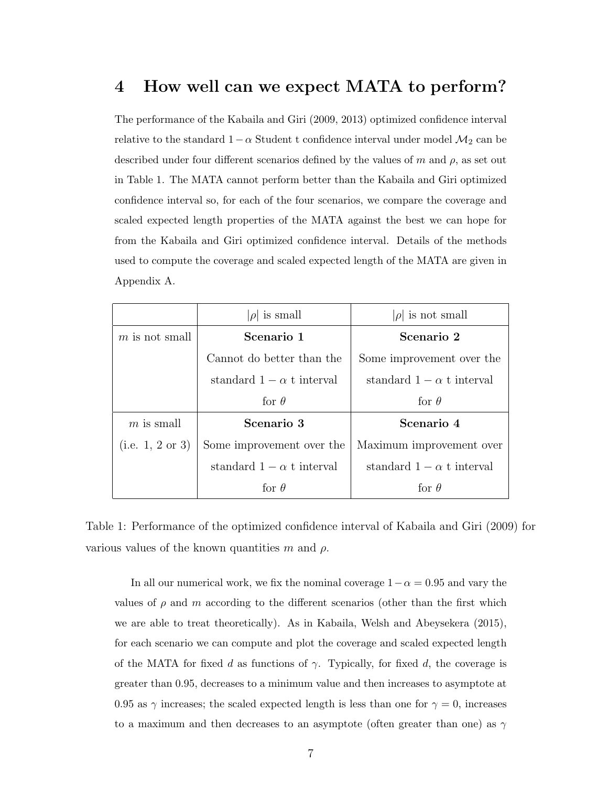# 4 How well can we expect MATA to perform?

The performance of the Kabaila and Giri (2009, 2013) optimized confidence interval relative to the standard  $1-\alpha$  Student t confidence interval under model  $\mathcal{M}_2$  can be described under four different scenarios defined by the values of m and  $\rho$ , as set out in Table 1. The MATA cannot perform better than the Kabaila and Giri optimized confidence interval so, for each of the four scenarios, we compare the coverage and scaled expected length properties of the MATA against the best we can hope for from the Kabaila and Giri optimized confidence interval. Details of the methods used to compute the coverage and scaled expected length of the MATA are given in Appendix A.

|                  | $ \rho $ is small                | $ \rho $ is not small            |
|------------------|----------------------------------|----------------------------------|
| $m$ is not small | Scenario 1                       | Scenario 2                       |
|                  | Cannot do better than the        | Some improvement over the        |
|                  | standard $1 - \alpha$ t interval | standard $1 - \alpha$ t interval |
|                  | for $\theta$                     | for $\theta$                     |
| $m$ is small     | Scenario 3                       | Scenario 4                       |
| (i.e. 1, 2 or 3) | Some improvement over the        | Maximum improvement over         |
|                  | standard $1 - \alpha$ t interval | standard $1 - \alpha$ t interval |
|                  | for $\theta$                     | for $\theta$                     |

Table 1: Performance of the optimized confidence interval of Kabaila and Giri (2009) for various values of the known quantities m and  $\rho$ .

In all our numerical work, we fix the nominal coverage  $1-\alpha = 0.95$  and vary the values of  $\rho$  and m according to the different scenarios (other than the first which we are able to treat theoretically). As in Kabaila, Welsh and Abeysekera (2015), for each scenario we can compute and plot the coverage and scaled expected length of the MATA for fixed d as functions of  $\gamma$ . Typically, for fixed d, the coverage is greater than 0.95, decreases to a minimum value and then increases to asymptote at 0.95 as  $\gamma$  increases; the scaled expected length is less than one for  $\gamma = 0$ , increases to a maximum and then decreases to an asymptote (often greater than one) as  $\gamma$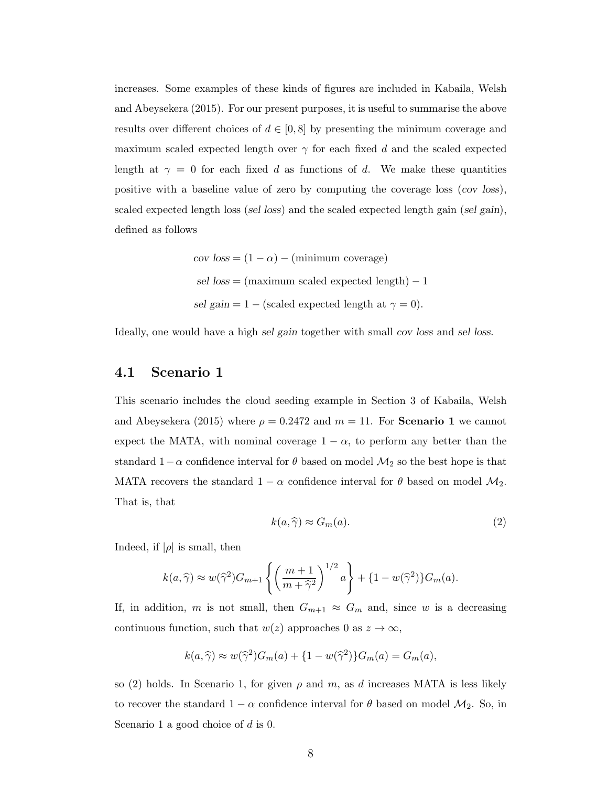increases. Some examples of these kinds of figures are included in Kabaila, Welsh and Abeysekera (2015). For our present purposes, it is useful to summarise the above results over different choices of  $d \in [0, 8]$  by presenting the minimum coverage and maximum scaled expected length over  $\gamma$  for each fixed d and the scaled expected length at  $\gamma = 0$  for each fixed d as functions of d. We make these quantities positive with a baseline value of zero by computing the coverage loss (cov loss), scaled expected length loss (sel loss) and the scaled expected length gain (sel gain), defined as follows

cov loss = 
$$
(1 - \alpha)
$$
 – (minimum coverage)  
sel loss = (maximum scaled expected length) – 1  
sel gain = 1 – (scaled expected length at  $\gamma = 0$ ).

Ideally, one would have a high sel gain together with small cov loss and sel loss.

#### 4.1 Scenario 1

This scenario includes the cloud seeding example in Section 3 of Kabaila, Welsh and Abeysekera (2015) where  $\rho = 0.2472$  and  $m = 11$ . For **Scenario 1** we cannot expect the MATA, with nominal coverage  $1 - \alpha$ , to perform any better than the standard  $1-\alpha$  confidence interval for  $\theta$  based on model  $\mathcal{M}_2$  so the best hope is that MATA recovers the standard  $1 - \alpha$  confidence interval for  $\theta$  based on model  $M_2$ . That is, that

$$
k(a,\widehat{\gamma}) \approx G_m(a). \tag{2}
$$

Indeed, if  $|\rho|$  is small, then

$$
k(a,\widehat{\gamma}) \approx w(\widehat{\gamma}^2)G_{m+1}\left\{ \left(\frac{m+1}{m+\widehat{\gamma}^2}\right)^{1/2}a\right\} + \{1-w(\widehat{\gamma}^2)\}G_m(a).
$$

If, in addition, m is not small, then  $G_{m+1} \approx G_m$  and, since w is a decreasing continuous function, such that  $w(z)$  approaches 0 as  $z \to \infty$ ,

$$
k(a,\widehat{\gamma}) \approx w(\widehat{\gamma}^2)G_m(a) + \{1 - w(\widehat{\gamma}^2)\}G_m(a) = G_m(a),
$$

so (2) holds. In Scenario 1, for given  $\rho$  and m, as d increases MATA is less likely to recover the standard  $1 - \alpha$  confidence interval for  $\theta$  based on model  $\mathcal{M}_2$ . So, in Scenario 1 a good choice of  $d$  is 0.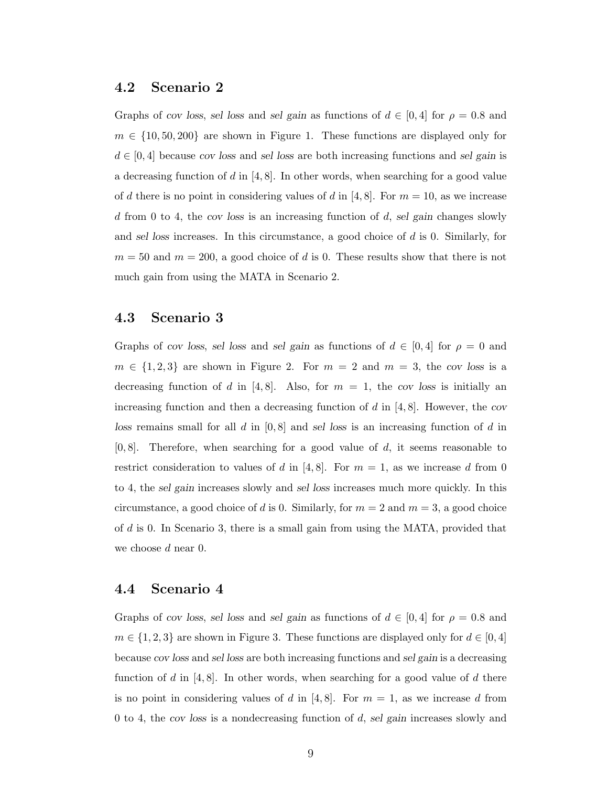#### 4.2 Scenario 2

Graphs of cov loss, sel loss and sel gain as functions of  $d \in [0, 4]$  for  $\rho = 0.8$  and  $m \in \{10, 50, 200\}$  are shown in Figure 1. These functions are displayed only for  $d \in [0, 4]$  because cov loss and sel loss are both increasing functions and sel gain is a decreasing function of d in  $[4, 8]$ . In other words, when searching for a good value of d there is no point in considering values of d in [4,8]. For  $m = 10$ , as we increase d from 0 to 4, the cov loss is an increasing function of  $d$ , sel gain changes slowly and sel loss increases. In this circumstance, a good choice of d is 0. Similarly, for  $m = 50$  and  $m = 200$ , a good choice of d is 0. These results show that there is not much gain from using the MATA in Scenario 2.

#### 4.3 Scenario 3

Graphs of cov loss, sel loss and sel gain as functions of  $d \in [0,4]$  for  $\rho = 0$  and  $m \in \{1, 2, 3\}$  are shown in Figure 2. For  $m = 2$  and  $m = 3$ , the cov loss is a decreasing function of d in [4,8]. Also, for  $m = 1$ , the cov loss is initially an increasing function and then a decreasing function of d in  $[4, 8]$ . However, the cov loss remains small for all d in  $[0, 8]$  and sel loss is an increasing function of d in  $[0, 8]$ . Therefore, when searching for a good value of d, it seems reasonable to restrict consideration to values of d in [4,8]. For  $m = 1$ , as we increase d from 0 to 4, the sel gain increases slowly and sel loss increases much more quickly. In this circumstance, a good choice of d is 0. Similarly, for  $m = 2$  and  $m = 3$ , a good choice of d is 0. In Scenario 3, there is a small gain from using the MATA, provided that we choose d near 0.

#### 4.4 Scenario 4

Graphs of cov loss, sel loss and sel gain as functions of  $d \in [0, 4]$  for  $\rho = 0.8$  and  $m \in \{1, 2, 3\}$  are shown in Figure 3. These functions are displayed only for  $d \in [0, 4]$ because cov loss and sel loss are both increasing functions and sel gain is a decreasing function of d in  $[4, 8]$ . In other words, when searching for a good value of d there is no point in considering values of d in [4, 8]. For  $m = 1$ , as we increase d from 0 to 4, the cov loss is a nondecreasing function of d, sel gain increases slowly and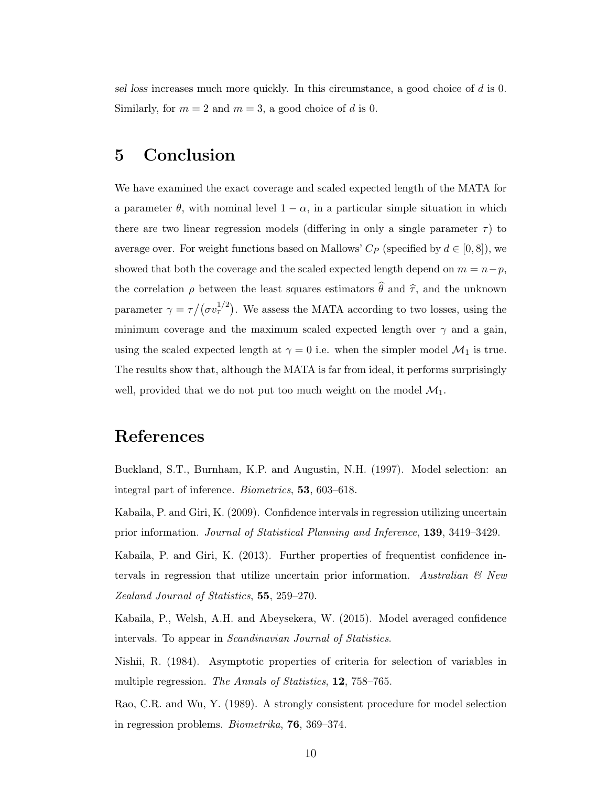sel loss increases much more quickly. In this circumstance, a good choice of d is 0. Similarly, for  $m = 2$  and  $m = 3$ , a good choice of d is 0.

# 5 Conclusion

We have examined the exact coverage and scaled expected length of the MATA for a parameter  $\theta$ , with nominal level  $1 - \alpha$ , in a particular simple situation in which there are two linear regression models (differing in only a single parameter  $\tau$ ) to average over. For weight functions based on Mallows'  $C_P$  (specified by  $d \in [0, 8]$ ), we showed that both the coverage and the scaled expected length depend on  $m = n - p$ , the correlation  $\rho$  between the least squares estimators  $\hat{\theta}$  and  $\hat{\tau}$ , and the unknown parameter  $\gamma = \tau/(\sigma v_{\tau}^{1/2})$ . We assess the MATA according to two losses, using the minimum coverage and the maximum scaled expected length over  $\gamma$  and a gain, using the scaled expected length at  $\gamma = 0$  i.e. when the simpler model  $\mathcal{M}_1$  is true. The results show that, although the MATA is far from ideal, it performs surprisingly well, provided that we do not put too much weight on the model  $\mathcal{M}_1$ .

# References

Buckland, S.T., Burnham, K.P. and Augustin, N.H. (1997). Model selection: an integral part of inference. Biometrics, 53, 603–618.

Kabaila, P. and Giri, K. (2009). Confidence intervals in regression utilizing uncertain prior information. Journal of Statistical Planning and Inference, 139, 3419–3429.

Kabaila, P. and Giri, K. (2013). Further properties of frequentist confidence intervals in regression that utilize uncertain prior information. Australian  $\mathcal{B}$  New Zealand Journal of Statistics, 55, 259–270.

Kabaila, P., Welsh, A.H. and Abeysekera, W. (2015). Model averaged confidence intervals. To appear in Scandinavian Journal of Statistics.

Nishii, R. (1984). Asymptotic properties of criteria for selection of variables in multiple regression. The Annals of Statistics, **12**, 758–765.

Rao, C.R. and Wu, Y. (1989). A strongly consistent procedure for model selection in regression problems. Biometrika, 76, 369–374.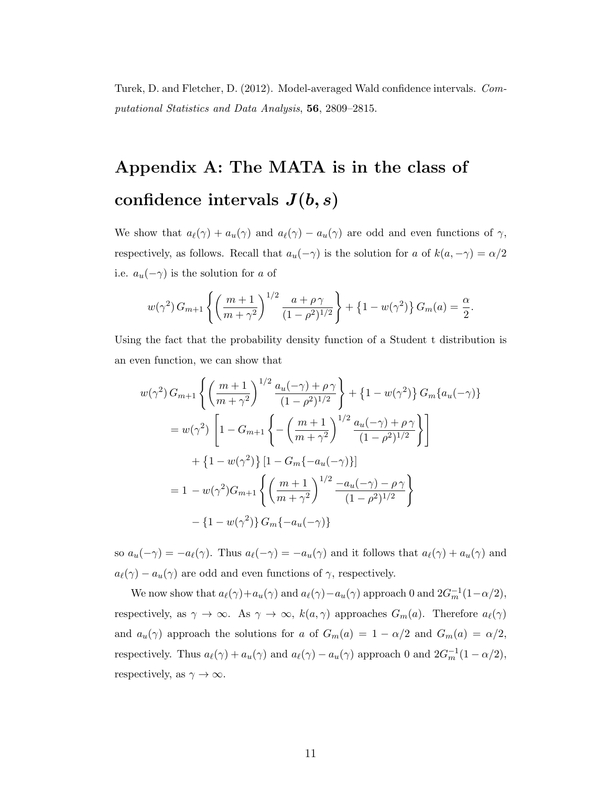Turek, D. and Fletcher, D. (2012). Model-averaged Wald confidence intervals. Computational Statistics and Data Analysis, 56, 2809–2815.

# Appendix A: The MATA is in the class of confidence intervals  $J(b, s)$

We show that  $a_{\ell}(\gamma) + a_{u}(\gamma)$  and  $a_{\ell}(\gamma) - a_{u}(\gamma)$  are odd and even functions of  $\gamma$ , respectively, as follows. Recall that  $a_u(-\gamma)$  is the solution for  $a$  of  $k(a,-\gamma)=\alpha/2$ i.e.  $a_u(-\gamma)$  is the solution for a of

$$
w(\gamma^2) G_{m+1} \left\{ \left( \frac{m+1}{m+\gamma^2} \right)^{1/2} \frac{a+\rho\gamma}{(1-\rho^2)^{1/2}} \right\} + \left\{ 1 - w(\gamma^2) \right\} G_m(a) = \frac{\alpha}{2}.
$$

Using the fact that the probability density function of a Student t distribution is an even function, we can show that

$$
w(\gamma^2) G_{m+1} \left\{ \left( \frac{m+1}{m+\gamma^2} \right)^{1/2} \frac{a_u(-\gamma) + \rho \gamma}{(1-\rho^2)^{1/2}} \right\} + \left\{ 1 - w(\gamma^2) \right\} G_m \{a_u(-\gamma)\}
$$
  

$$
= w(\gamma^2) \left[ 1 - G_{m+1} \left\{ - \left( \frac{m+1}{m+\gamma^2} \right)^{1/2} \frac{a_u(-\gamma) + \rho \gamma}{(1-\rho^2)^{1/2}} \right\} \right]
$$

$$
+ \left\{ 1 - w(\gamma^2) \right\} \left[ 1 - G_m \{ -a_u(-\gamma) \} \right]
$$

$$
= 1 - w(\gamma^2) G_{m+1} \left\{ \left( \frac{m+1}{m+\gamma^2} \right)^{1/2} \frac{-a_u(-\gamma) - \rho \gamma}{(1-\rho^2)^{1/2}} \right\}
$$

$$
- \left\{ 1 - w(\gamma^2) \right\} G_m \{ -a_u(-\gamma) \}
$$

so  $a_u(-\gamma) = -a_{\ell}(\gamma)$ . Thus  $a_{\ell}(-\gamma) = -a_u(\gamma)$  and it follows that  $a_{\ell}(\gamma) + a_u(\gamma)$  and  $a_{\ell}(\gamma) - a_{u}(\gamma)$  are odd and even functions of  $\gamma,$  respectively.

We now show that  $a_{\ell}(\gamma)+a_u(\gamma)$  and  $a_{\ell}(\gamma)-a_u(\gamma)$  approach 0 and  $2G_m^{-1}(1-\alpha/2)$ , respectively, as  $\gamma \to \infty$ . As  $\gamma \to \infty$ ,  $k(a, \gamma)$  approaches  $G_m(a)$ . Therefore  $a_{\ell}(\gamma)$ and  $a_u(\gamma)$  approach the solutions for a of  $G_m(a) = 1 - \alpha/2$  and  $G_m(a) = \alpha/2$ , respectively. Thus  $a_{\ell}(\gamma) + a_u(\gamma)$  and  $a_{\ell}(\gamma) - a_u(\gamma)$  approach 0 and  $2G_m^{-1}(1 - \alpha/2)$ , respectively, as  $\gamma \to \infty$ .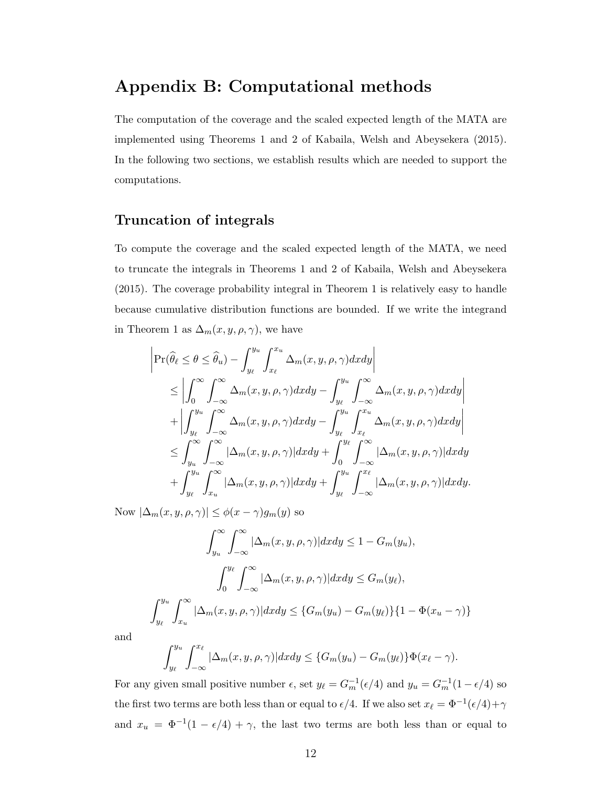### Appendix B: Computational methods

The computation of the coverage and the scaled expected length of the MATA are implemented using Theorems 1 and 2 of Kabaila, Welsh and Abeysekera (2015). In the following two sections, we establish results which are needed to support the computations.

#### Truncation of integrals

To compute the coverage and the scaled expected length of the MATA, we need to truncate the integrals in Theorems 1 and 2 of Kabaila, Welsh and Abeysekera (2015). The coverage probability integral in Theorem 1 is relatively easy to handle because cumulative distribution functions are bounded. If we write the integrand in Theorem 1 as  $\Delta_m(x, y, \rho, \gamma)$ , we have

$$
\begin{split}\n&\left|\Pr(\widehat{\theta}_{\ell} \leq \theta \leq \widehat{\theta}_{u}) - \int_{y_{\ell}}^{y_{u}} \int_{x_{\ell}}^{x_{u}} \Delta_{m}(x, y, \rho, \gamma) dx dy\right| \\
&\leq \left| \int_{0}^{\infty} \int_{-\infty}^{\infty} \Delta_{m}(x, y, \rho, \gamma) dx dy - \int_{y_{\ell}}^{y_{u}} \int_{-\infty}^{\infty} \Delta_{m}(x, y, \rho, \gamma) dx dy\right| \\
&\quad + \left| \int_{y_{\ell}}^{y_{u}} \int_{-\infty}^{\infty} \Delta_{m}(x, y, \rho, \gamma) dx dy - \int_{y_{\ell}}^{y_{u}} \int_{x_{\ell}}^{x_{u}} \Delta_{m}(x, y, \rho, \gamma) dx dy\right| \\
&\leq \int_{y_{u}}^{\infty} \int_{-\infty}^{\infty} |\Delta_{m}(x, y, \rho, \gamma)| dx dy + \int_{0}^{y_{\ell}} \int_{-\infty}^{\infty} |\Delta_{m}(x, y, \rho, \gamma)| dx dy \\
&\quad + \int_{y_{\ell}}^{y_{u}} \int_{x_{u}}^{\infty} |\Delta_{m}(x, y, \rho, \gamma)| dx dy + \int_{y_{\ell}}^{y_{u}} \int_{-\infty}^{x_{\ell}} |\Delta_{m}(x, y, \rho, \gamma)| dx dy.\n\end{split}
$$

Now  $|\Delta_m(x, y, \rho, \gamma)| \leq \phi(x - \gamma) g_m(y)$  so

$$
\int_{y_u}^{\infty} \int_{-\infty}^{\infty} |\Delta_m(x, y, \rho, \gamma)| dx dy \le 1 - G_m(y_u),
$$

$$
\int_0^{y_\ell} \int_{-\infty}^{\infty} |\Delta_m(x, y, \rho, \gamma)| dx dy \le G_m(y_\ell),
$$

$$
\int_{y_\ell}^{y_u} \int_{x_u}^{\infty} |\Delta_m(x, y, \rho, \gamma)| dx dy \le \{G_m(y_u) - G_m(y_\ell)\}\{1 - \Phi(x_u - \gamma)\}
$$

and

$$
\int_{y_{\ell}}^{y_u} \int_{-\infty}^{x_{\ell}} |\Delta_m(x, y, \rho, \gamma)| dxdy \leq \{G_m(y_u) - G_m(y_{\ell})\} \Phi(x_{\ell} - \gamma).
$$

For any given small positive number  $\epsilon$ , set  $y_{\ell} = G_m^{-1}(\epsilon/4)$  and  $y_u = G_m^{-1}(1 - \epsilon/4)$  so the first two terms are both less than or equal to  $\epsilon/4$ . If we also set  $x_{\ell} = \Phi^{-1}(\epsilon/4) + \gamma$ and  $x_u = \Phi^{-1}(1 - \epsilon/4) + \gamma$ , the last two terms are both less than or equal to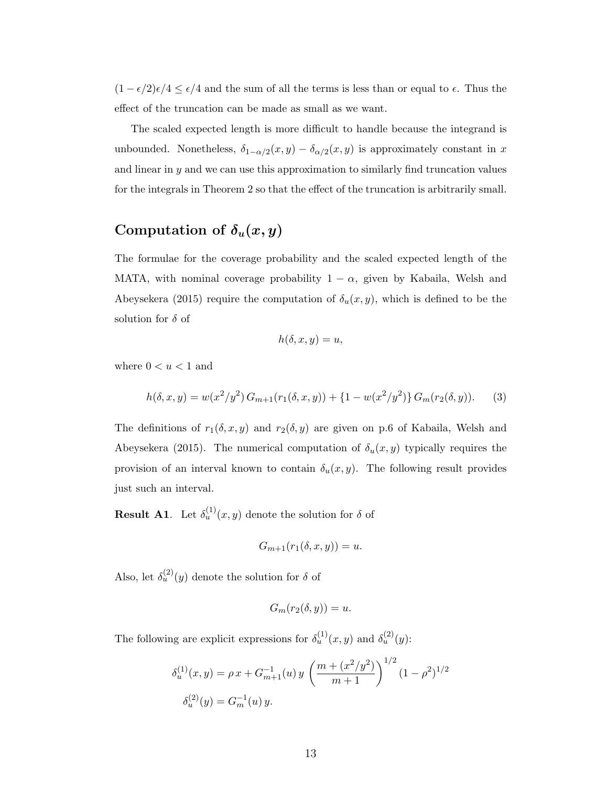$(1 - \epsilon/2)\epsilon/4 \leq \epsilon/4$  and the sum of all the terms is less than or equal to  $\epsilon$ . Thus the effect of the truncation can be made as small as we want.

The scaled expected length is more difficult to handle because the integrand is unbounded. Nonetheless,  $\delta_{1-\alpha/2}(x,y) - \delta_{\alpha/2}(x,y)$  is approximately constant in x and linear in y and we can use this approximation to similarly find truncation values for the integrals in Theorem 2 so that the effect of the truncation is arbitrarily small.

# Computation of  $\delta_u(x,y)$

The formulae for the coverage probability and the scaled expected length of the MATA, with nominal coverage probability  $1 - \alpha$ , given by Kabaila, Welsh and Abeysekera (2015) require the computation of  $\delta_u(x, y)$ , which is defined to be the solution for  $\delta$  of

$$
h(\delta, x, y) = u,
$$

where  $0 < u < 1$  and

$$
h(\delta, x, y) = w(x^2/y^2) G_{m+1}(r_1(\delta, x, y)) + \{1 - w(x^2/y^2)\} G_m(r_2(\delta, y)).
$$
 (3)

The definitions of  $r_1(\delta, x, y)$  and  $r_2(\delta, y)$  are given on p.6 of Kabaila, Welsh and Abeysekera (2015). The numerical computation of  $\delta_u(x, y)$  typically requires the provision of an interval known to contain  $\delta_u(x, y)$ . The following result provides just such an interval.

**Result A1.** Let  $\delta_u^{(1)}(x, y)$  denote the solution for  $\delta$  of

$$
G_{m+1}(r_1(\delta, x, y)) = u.
$$

Also, let  $\delta_u^{(2)}(y)$  denote the solution for  $\delta$  of

$$
G_m(r_2(\delta, y)) = u.
$$

The following are explicit expressions for  $\delta_u^{(1)}(x, y)$  and  $\delta_u^{(2)}(y)$ :

$$
\delta_u^{(1)}(x, y) = \rho x + G_{m+1}^{-1}(u) y \left(\frac{m + (x^2/y^2)}{m+1}\right)^{1/2} (1 - \rho^2)^{1/2}
$$

$$
\delta_u^{(2)}(y) = G_m^{-1}(u) y.
$$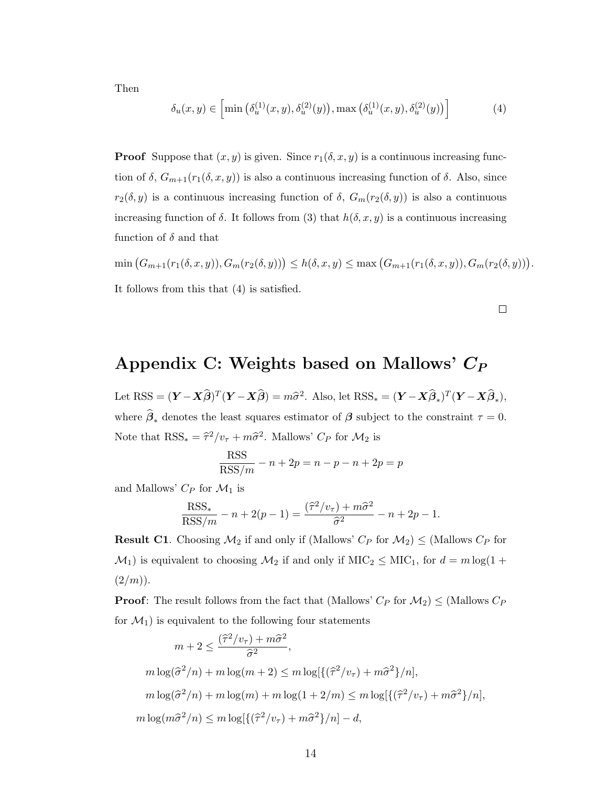Then

$$
\delta_u(x, y) \in \left[ \min \left( \delta_u^{(1)}(x, y), \delta_u^{(2)}(y) \right), \max \left( \delta_u^{(1)}(x, y), \delta_u^{(2)}(y) \right) \right] \tag{4}
$$

**Proof** Suppose that  $(x, y)$  is given. Since  $r_1(\delta, x, y)$  is a continuous increasing function of  $\delta$ ,  $G_{m+1}(r_1(\delta, x, y))$  is also a continuous increasing function of  $\delta$ . Also, since  $r_2(\delta, y)$  is a continuous increasing function of  $\delta$ ,  $G_m(r_2(\delta, y))$  is also a continuous increasing function of  $\delta$ . It follows from (3) that  $h(\delta, x, y)$  is a continuous increasing function of  $\delta$  and that

 $\min (G_{m+1}(r_1(\delta,x,y)), G_m(r_2(\delta,y))) \leq h(\delta,x,y) \leq \max (G_{m+1}(r_1(\delta,x,y)), G_m(r_2(\delta,y))).$ It follows from this that (4) is satisfied.

# Appendix C: Weights based on Mallows'  $C_P$

Let RSS =  $(\mathbf{Y} - \mathbf{X}\widehat{\boldsymbol{\beta}})^T(\mathbf{Y} - \mathbf{X}\widehat{\boldsymbol{\beta}}) = m\widehat{\sigma}^2$ . Also, let RSS<sub>\*</sub> =  $(\mathbf{Y} - \mathbf{X}\widehat{\boldsymbol{\beta}}_*)^T(\mathbf{Y} - \mathbf{X}\widehat{\boldsymbol{\beta}}_*)$ , where  $\beta_*$  denotes the least squares estimator of  $\beta$  subject to the constraint  $\tau = 0$ . Note that  $RSS_* = \hat{\tau}^2/v_{\tau} + m\hat{\sigma}^2$ . Mallows'  $C_P$  for  $\mathcal{M}_2$  is

$$
\frac{\text{RSS}}{\text{RSS}/m} - n + 2p = n - p - n + 2p = p
$$

and Mallows'  $C_P$  for  $\mathcal{M}_1$  is

$$
\frac{\text{RSS}_{*}}{\text{RSS}/m} - n + 2(p - 1) = \frac{(\hat{\tau}^2/v_{\tau}) + m\hat{\sigma}^2}{\hat{\sigma}^2} - n + 2p - 1.
$$

**Result C1**. Choosing  $\mathcal{M}_2$  if and only if (Mallows'  $C_P$  for  $\mathcal{M}_2$ )  $\leq$  (Mallows  $C_P$  for  $\mathcal{M}_1$ ) is equivalent to choosing  $\mathcal{M}_2$  if and only if  $\text{MIC}_2 \leq \text{MIC}_1$ , for  $d = m \log(1 +$  $(2/m)$ ).

**Proof:** The result follows from the fact that (Mallows'  $C_P$  for  $\mathcal{M}_2$ )  $\leq$  (Mallows  $C_P$ for  $\mathcal{M}_1$ ) is equivalent to the following four statements

$$
m + 2 \le \frac{(\hat{\tau}^2/v_{\tau}) + m\hat{\sigma}^2}{\hat{\sigma}^2},
$$
  

$$
m \log(\hat{\sigma}^2/n) + m \log(m+2) \le m \log[\{(\hat{\tau}^2/v_{\tau}) + m\hat{\sigma}^2\}/n],
$$
  

$$
m \log(\hat{\sigma}^2/n) + m \log(m) + m \log(1 + 2/m) \le m \log[\{(\hat{\tau}^2/v_{\tau}) + m\hat{\sigma}^2\}/n],
$$
  

$$
m \log(m\hat{\sigma}^2/n) \le m \log[\{(\hat{\tau}^2/v_{\tau}) + m\hat{\sigma}^2\}/n] - d,
$$

 $\Box$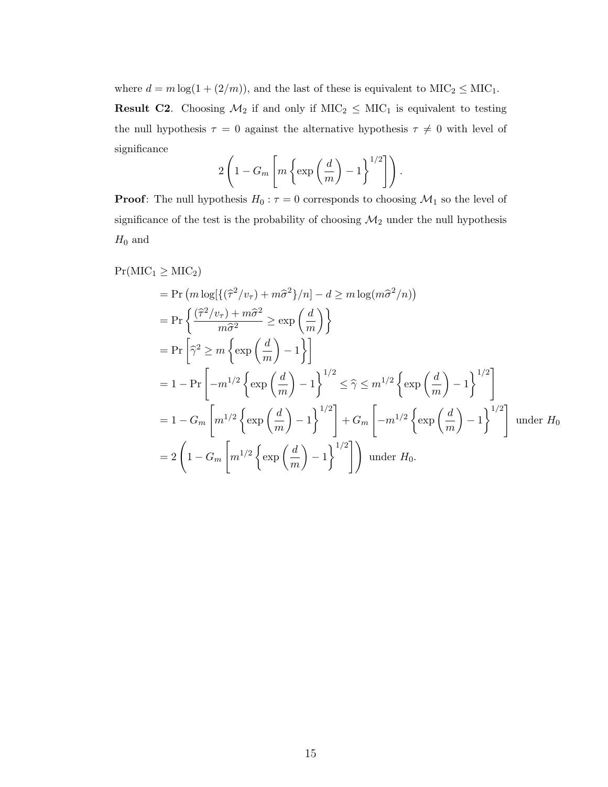where  $d = m \log(1 + (2/m))$ , and the last of these is equivalent to  $\text{MIC}_2 \leq \text{MIC}_1$ .

**Result C2.** Choosing  $\mathcal{M}_2$  if and only if  $\text{MIC}_2 \leq \text{MIC}_1$  is equivalent to testing the null hypothesis  $\tau$  = 0 against the alternative hypothesis  $\tau \neq$  0 with level of significance

$$
2\left(1-G_m\left[m\left\{\exp\left(\frac{d}{m}\right)-1\right\}^{1/2}\right]\right).
$$

**Proof:** The null hypothesis  $H_0: \tau = 0$  corresponds to choosing  $\mathcal{M}_1$  so the level of significance of the test is the probability of choosing  $\mathcal{M}_2$  under the null hypothesis  $H_0$  and

$$
\Pr(MIC_1 \geq MIC_2)
$$
  
=  $\Pr(m \log[\{(\hat{\tau}^2/v_{\tau}) + m\hat{\sigma}^2\}/n] - d \geq m \log(m\hat{\sigma}^2/n))$   
=  $\Pr\left\{\frac{(\hat{\tau}^2/v_{\tau}) + m\hat{\sigma}^2}{m\hat{\sigma}^2} \geq \exp\left(\frac{d}{m}\right) \right\}$   
=  $\Pr\left[\hat{\gamma}^2 \geq m \left\{ \exp\left(\frac{d}{m}\right) - 1 \right\} \right]$   
=  $1 - \Pr\left[-m^{1/2} \left\{ \exp\left(\frac{d}{m}\right) - 1 \right\}^{1/2} \leq \hat{\gamma} \leq m^{1/2} \left\{ \exp\left(\frac{d}{m}\right) - 1 \right\}^{1/2} \right]$   
=  $1 - G_m \left[m^{1/2} \left\{ \exp\left(\frac{d}{m}\right) - 1 \right\}^{1/2} \right] + G_m \left[-m^{1/2} \left\{ \exp\left(\frac{d}{m}\right) - 1 \right\}^{1/2} \right]$  under  $H_0$   
=  $2 \left(1 - G_m \left[m^{1/2} \left\{ \exp\left(\frac{d}{m}\right) - 1 \right\}^{1/2} \right]\right)$  under  $H_0$ .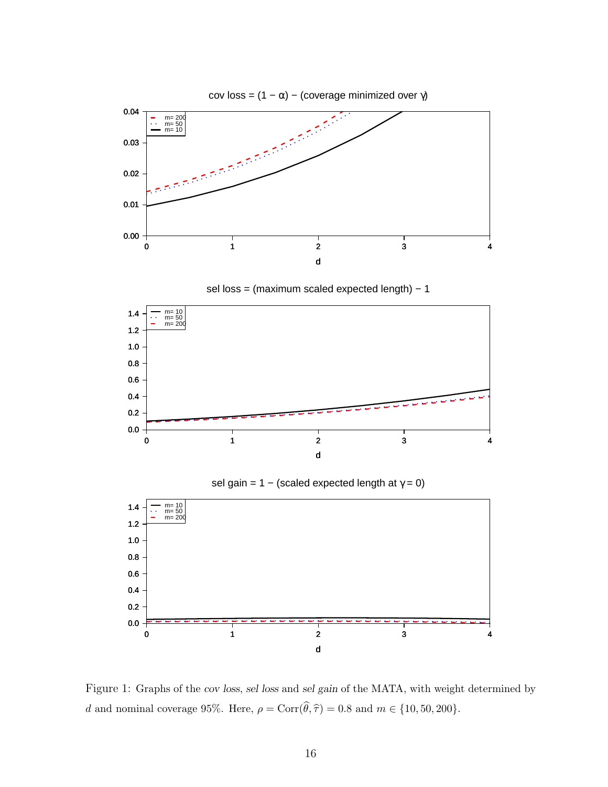

sel loss = (maximum scaled expected length) – 1



sel gain = 1 – (scaled expected length at  $\gamma = 0$ )



Figure 1: Graphs of the cov loss, sel loss and sel gain of the MATA, with weight determined by d and nominal coverage 95%. Here,  $\rho = \text{Corr}(\widehat{\theta}, \widehat{\tau}) = 0.8$  and  $m \in \{10, 50, 200\}.$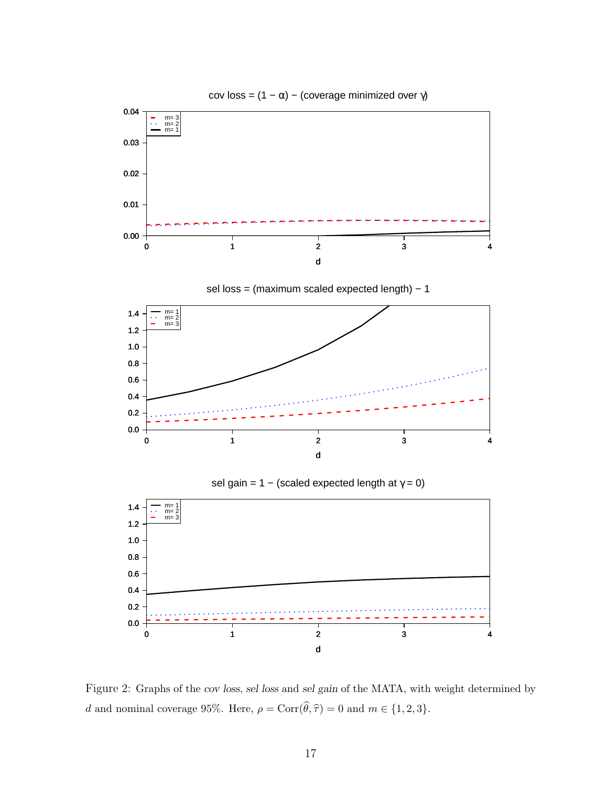

Figure 2: Graphs of the cov loss, sel loss and sel gain of the MATA, with weight determined by d and nominal coverage 95%. Here,  $\rho = \text{Corr}(\widehat{\theta}, \widehat{\tau}) = 0$  and  $m \in \{1, 2, 3\}.$